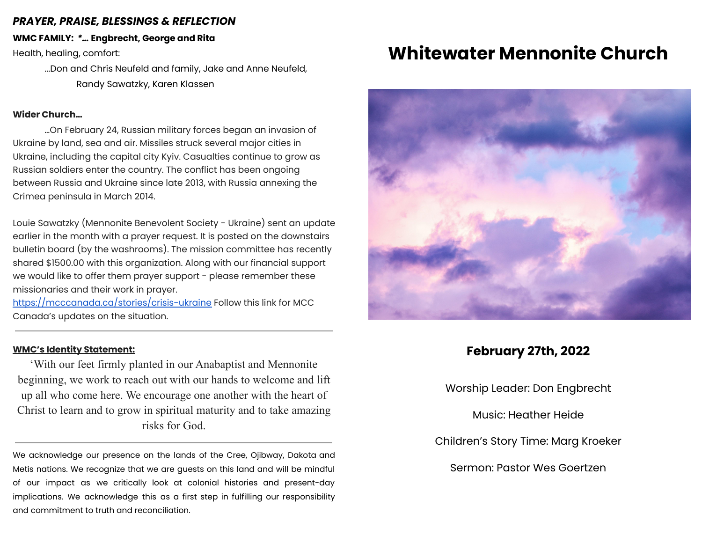### *PRAYER, PRAISE, BLESSINGS & REFLECTION*

**WMC FAMILY:** *\*…* **Engbrecht, George and Rita**

Health, healing, comfort:

...Don and Chris Neufeld and family, Jake and Anne Neufeld, Randy Sawatzky, Karen Klassen

#### **Wider Church…**

…On February 24, Russian military forces began an invasion of Ukraine by land, sea and air. Missiles struck several major cities in Ukraine, including the capital city Kyiv. Casualties continue to grow as Russian soldiers enter the country. The conflict has been ongoing between Russia and Ukraine since late 2013, with Russia annexing the Crimea peninsula in March 2014.

Louie Sawatzky (Mennonite Benevolent Society - Ukraine) sent an update earlier in the month with a prayer request. It is posted on the downstairs bulletin board (by the washrooms). The mission committee has recently shared \$1500.00 with this organization. Along with our financial support we would like to offer them prayer support - please remember these missionaries and their work in prayer.

<https://mcccanada.ca/stories/crisis-ukraine> Follow this link for MCC Canada's updates on the situation.

### **WMC's Identity Statement:**

'With our feet firmly planted in our Anabaptist and Mennonite beginning, we work to reach out with our hands to welcome and lift up all who come here. We encourage one another with the heart of Christ to learn and to grow in spiritual maturity and to take amazing risks for God.

We acknowledge our presence on the lands of the Cree, Ojibway, Dakota and Metis nations. We recognize that we are guests on this land and will be mindful of our impact as we critically look at colonial histories and present-day implications. We acknowledge this as a first step in fulfilling our responsibility and commitment to truth and reconciliation.

# **Whitewater Mennonite Church**



# **February 27th, 2022**

Worship Leader: Don Engbrecht

Music: Heather Heide

Children's Story Time: Marg Kroeker

Sermon: Pastor Wes Goertzen